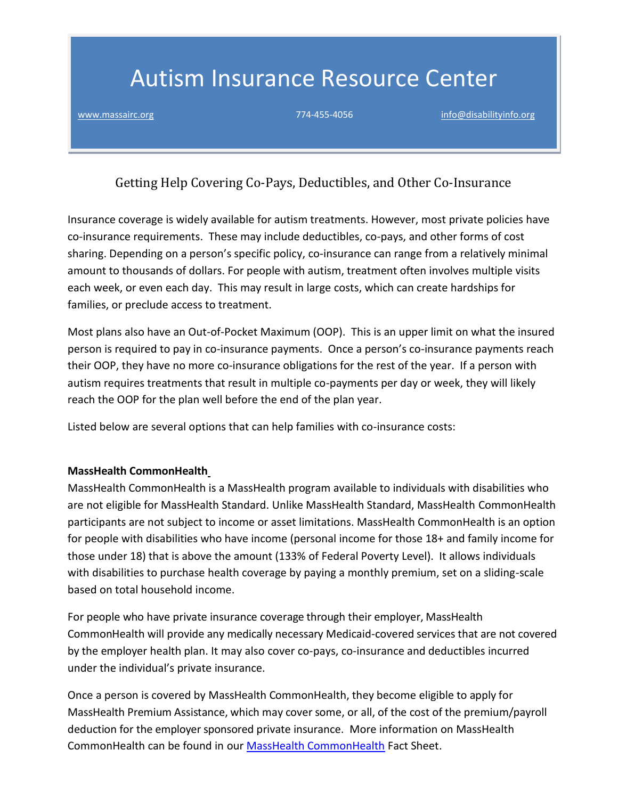# Autism Insurance Resource Center

[www.massairc.org](https://massairc.org/) 774-455-4056 [info@disabilityinfo.org](mailto:info@disabilityinfo.org)

Getting Help Covering Co-Pays, Deductibles, and Other Co-Insurance

Insurance coverage is widely available for autism treatments. However, most private policies have co-insurance requirements. These may include deductibles, co-pays, and other forms of cost sharing. Depending on a person's specific policy, co-insurance can range from a relatively minimal amount to thousands of dollars. For people with autism, treatment often involves multiple visits each week, or even each day. This may result in large costs, which can create hardships for families, or preclude access to treatment.

Most plans also have an Out-of-Pocket Maximum (OOP). This is an upper limit on what the insured person is required to pay in co-insurance payments. Once a person's co-insurance payments reach their OOP, they have no more co-insurance obligations for the rest of the year. If a person with autism requires treatments that result in multiple co-payments per day or week, they will likely reach the OOP for the plan well before the end of the plan year.

Listed below are several options that can help families with co-insurance costs:

### **MassHealth CommonHealth**

MassHealth CommonHealth is a MassHealth program available to individuals with disabilities who are not eligible for MassHealth Standard. Unlike MassHealth Standard, MassHealth CommonHealth participants are not subject to income or asset limitations. MassHealth CommonHealth is an option for people with disabilities who have income (personal income for those 18+ and family income for those under 18) that is above the amount (133% of Federal Poverty Level). It allows individuals with disabilities to purchase health coverage by paying a monthly premium, set on a sliding-scale based on total household income.

For people who have private insurance coverage through their employer, MassHealth CommonHealth will provide any medically necessary Medicaid-covered services that are not covered by the employer health plan. It may also cover co-pays, co-insurance and deductibles incurred under the individual's private insurance.

Once a person is covered by MassHealth CommonHealth, they become eligible to apply for MassHealth Premium Assistance, which may cover some, or all, of the cost of the premium/payroll deduction for the employer sponsored private insurance. More information on MassHealth CommonHealth can be found in our [MassHealth CommonHealth](https://massairc.org/factsheets/masshealth-commonhealth-fact-sheet/) Fact Sheet.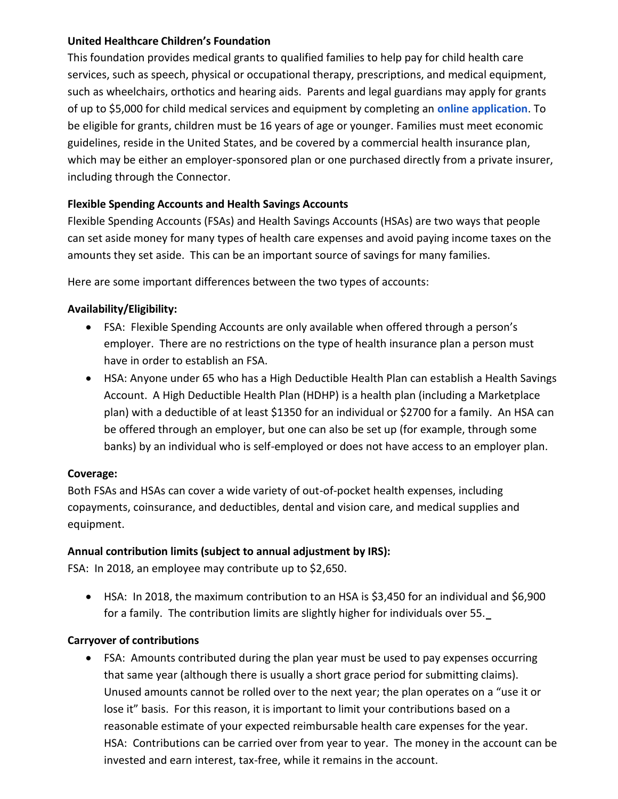### **United Healthcare Children's Foundation**

This foundation provides medical grants to qualified families to help pay for child health care services, such as speech, physical or occupational therapy, prescriptions, and medical equipment, such as wheelchairs, orthotics and hearing aids. Parents and legal guardians may apply for grants of up to \$5,000 for child medical services and equipment by completing an **[online application](http://www.uhccf.org/)**. To be eligible for grants, children must be 16 years of age or younger. Families must meet economic guidelines, reside in the United States, and be covered by a commercial health insurance plan, which may be either an employer-sponsored plan or one purchased directly from a private insurer, including through the Connector.

## **Flexible Spending Accounts and Health Savings Accounts**

Flexible Spending Accounts (FSAs) and Health Savings Accounts (HSAs) are two ways that people can set aside money for many types of health care expenses and avoid paying income taxes on the amounts they set aside. This can be an important source of savings for many families.

Here are some important differences between the two types of accounts:

### **Availability/Eligibility:**

- FSA: Flexible Spending Accounts are only available when offered through a person's employer. There are no restrictions on the type of health insurance plan a person must have in order to establish an FSA.
- HSA: Anyone under 65 who has a High Deductible Health Plan can establish a Health Savings Account. A High Deductible Health Plan (HDHP) is a health plan (including a Marketplace plan) with a deductible of at least \$1350 for an individual or \$2700 for a family. An HSA can be offered through an employer, but one can also be set up (for example, through some banks) by an individual who is self-employed or does not have access to an employer plan.

### **Coverage:**

Both FSAs and HSAs can cover a wide variety of out-of-pocket health expenses, including copayments, coinsurance, and deductibles, dental and vision care, and medical supplies and equipment.

### **Annual contribution limits (subject to annual adjustment by IRS):**

FSA: In 2018, an employee may contribute up to \$2,650.

• HSA: In 2018, the maximum contribution to an HSA is \$3,450 for an individual and \$6,900 for a family. The contribution limits are slightly higher for individuals over 55.

### **Carryover of contributions**

• FSA: Amounts contributed during the plan year must be used to pay expenses occurring that same year (although there is usually a short grace period for submitting claims). Unused amounts cannot be rolled over to the next year; the plan operates on a "use it or lose it" basis. For this reason, it is important to limit your contributions based on a reasonable estimate of your expected reimbursable health care expenses for the year. HSA: Contributions can be carried over from year to year. The money in the account can be invested and earn interest, tax-free, while it remains in the account.